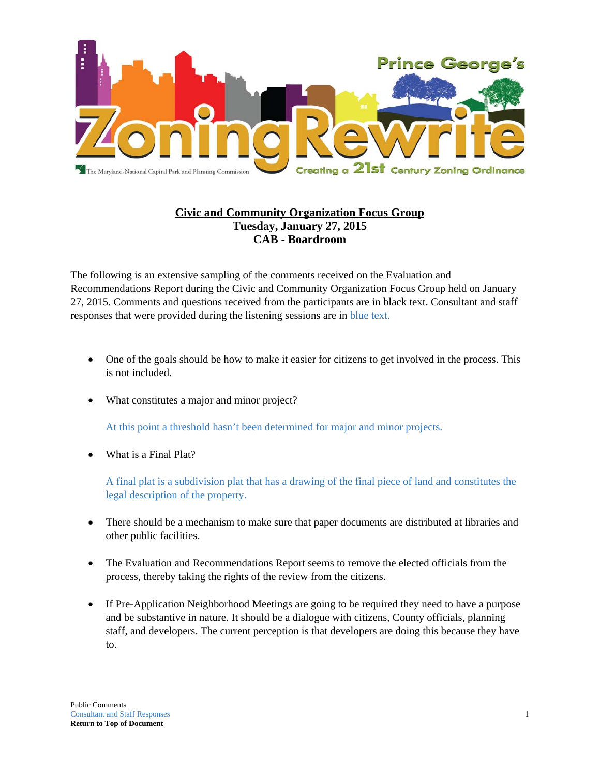

# **Civic and Community Organization Focus Group Tuesday, January 27, 2015 CAB - Boardroom**

The following is an extensive sampling of the comments received on the Evaluation and Recommendations Report during the Civic and Community Organization Focus Group held on January 27, 2015. Comments and questions received from the participants are in black text. Consultant and staff responses that were provided during the listening sessions are in blue text.

- One of the goals should be how to make it easier for citizens to get involved in the process. This is not included.
- What constitutes a major and minor project?

At this point a threshold hasn't been determined for major and minor projects.

What is a Final Plat?

A final plat is a subdivision plat that has a drawing of the final piece of land and constitutes the legal description of the property.

- There should be a mechanism to make sure that paper documents are distributed at libraries and other public facilities.
- The Evaluation and Recommendations Report seems to remove the elected officials from the process, thereby taking the rights of the review from the citizens.
- If Pre-Application Neighborhood Meetings are going to be required they need to have a purpose and be substantive in nature. It should be a dialogue with citizens, County officials, planning staff, and developers. The current perception is that developers are doing this because they have to.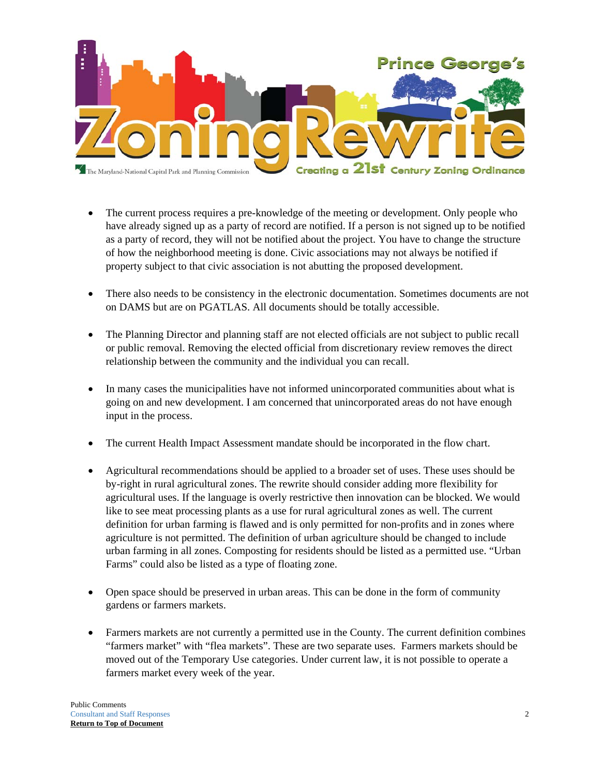

- The current process requires a pre-knowledge of the meeting or development. Only people who have already signed up as a party of record are notified. If a person is not signed up to be notified as a party of record, they will not be notified about the project. You have to change the structure of how the neighborhood meeting is done. Civic associations may not always be notified if property subject to that civic association is not abutting the proposed development.
- There also needs to be consistency in the electronic documentation. Sometimes documents are not on DAMS but are on PGATLAS. All documents should be totally accessible.
- The Planning Director and planning staff are not elected officials are not subject to public recall or public removal. Removing the elected official from discretionary review removes the direct relationship between the community and the individual you can recall.
- In many cases the municipalities have not informed unincorporated communities about what is going on and new development. I am concerned that unincorporated areas do not have enough input in the process.
- The current Health Impact Assessment mandate should be incorporated in the flow chart.
- Agricultural recommendations should be applied to a broader set of uses. These uses should be by-right in rural agricultural zones. The rewrite should consider adding more flexibility for agricultural uses. If the language is overly restrictive then innovation can be blocked. We would like to see meat processing plants as a use for rural agricultural zones as well. The current definition for urban farming is flawed and is only permitted for non-profits and in zones where agriculture is not permitted. The definition of urban agriculture should be changed to include urban farming in all zones. Composting for residents should be listed as a permitted use. "Urban Farms" could also be listed as a type of floating zone.
- Open space should be preserved in urban areas. This can be done in the form of community gardens or farmers markets.
- Farmers markets are not currently a permitted use in the County. The current definition combines "farmers market" with "flea markets". These are two separate uses. Farmers markets should be moved out of the Temporary Use categories. Under current law, it is not possible to operate a farmers market every week of the year.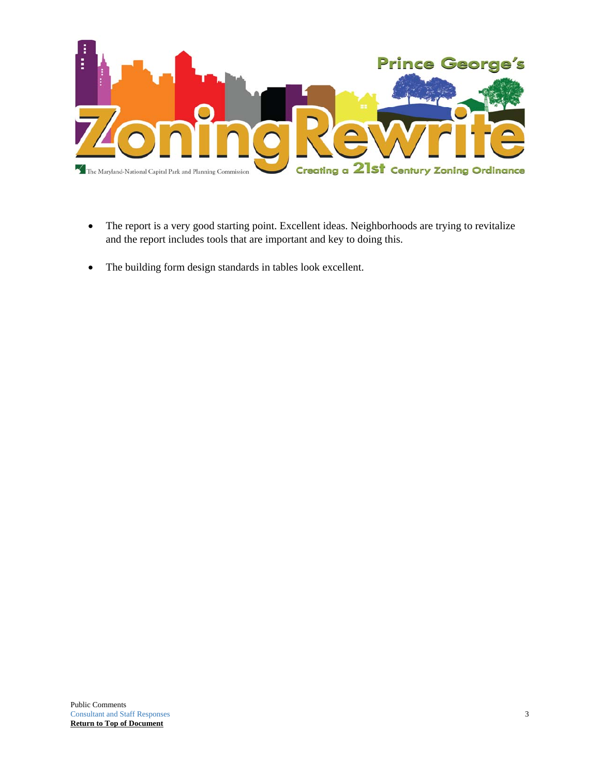

- The report is a very good starting point. Excellent ideas. Neighborhoods are trying to revitalize and the report includes tools that are important and key to doing this.
- The building form design standards in tables look excellent.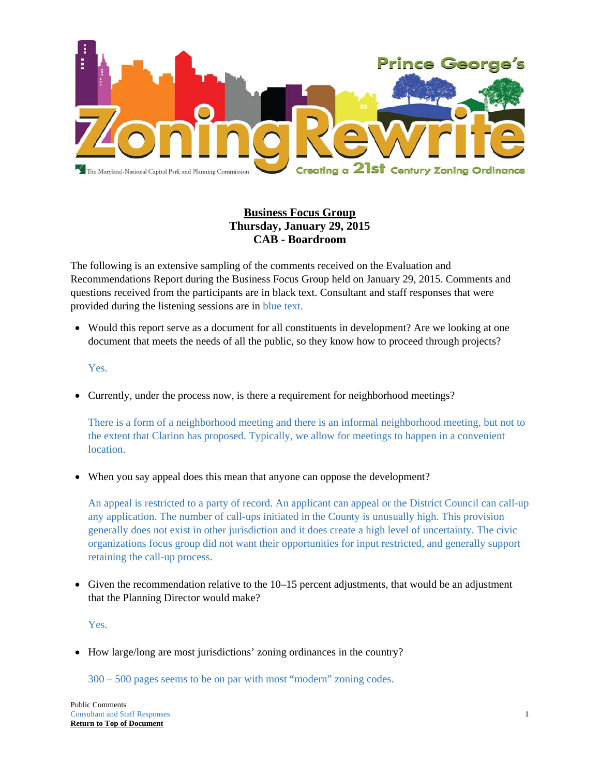

# **Business Focus Group Thursday, January 29, 2015 CAB - Boardroom**

The following is an extensive sampling of the comments received on the Evaluation and Recommendations Report during the Business Focus Group held on January 29, 2015. Comments and questions received from the participants are in black text. Consultant and staff responses that were provided during the listening sessions are in blue text.

 Would this report serve as a document for all constituents in development? Are we looking at one document that meets the needs of all the public, so they know how to proceed through projects?

#### Yes.

Currently, under the process now, is there a requirement for neighborhood meetings?

There is a form of a neighborhood meeting and there is an informal neighborhood meeting, but not to the extent that Clarion has proposed. Typically, we allow for meetings to happen in a convenient location.

When you say appeal does this mean that anyone can oppose the development?

An appeal is restricted to a party of record. An applicant can appeal or the District Council can call-up any application. The number of call-ups initiated in the County is unusually high. This provision generally does not exist in other jurisdiction and it does create a high level of uncertainty. The civic organizations focus group did not want their opportunities for input restricted, and generally support retaining the call-up process.

Given the recommendation relative to the  $10-15$  percent adjustments, that would be an adjustment that the Planning Director would make?

Yes.

• How large/long are most jurisdictions' zoning ordinances in the country?

300 – 500 pages seems to be on par with most "modern" zoning codes.

Public Comments Consultant and Staff Responses 1 **Return to Top of Document**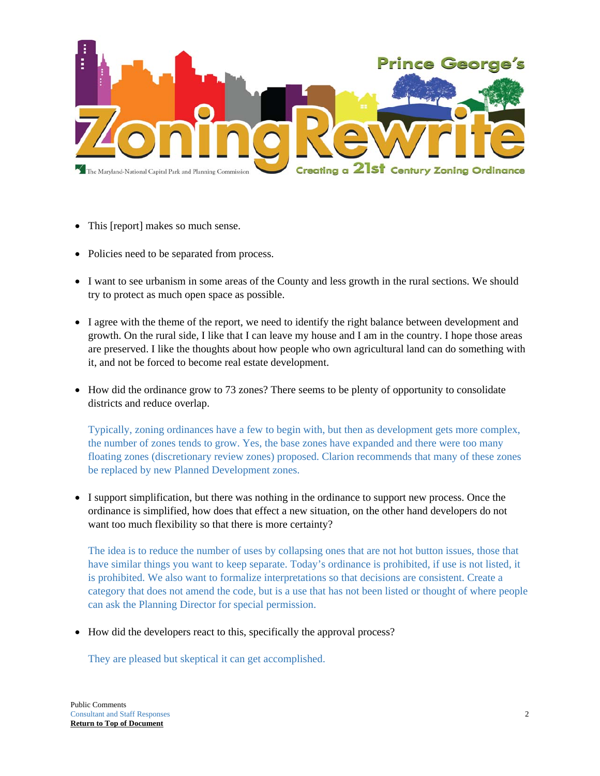

- This [report] makes so much sense.
- Policies need to be separated from process.
- I want to see urbanism in some areas of the County and less growth in the rural sections. We should try to protect as much open space as possible.
- I agree with the theme of the report, we need to identify the right balance between development and growth. On the rural side, I like that I can leave my house and I am in the country. I hope those areas are preserved. I like the thoughts about how people who own agricultural land can do something with it, and not be forced to become real estate development.
- How did the ordinance grow to 73 zones? There seems to be plenty of opportunity to consolidate districts and reduce overlap.

Typically, zoning ordinances have a few to begin with, but then as development gets more complex, the number of zones tends to grow. Yes, the base zones have expanded and there were too many floating zones (discretionary review zones) proposed. Clarion recommends that many of these zones be replaced by new Planned Development zones.

 I support simplification, but there was nothing in the ordinance to support new process. Once the ordinance is simplified, how does that effect a new situation, on the other hand developers do not want too much flexibility so that there is more certainty?

The idea is to reduce the number of uses by collapsing ones that are not hot button issues, those that have similar things you want to keep separate. Today's ordinance is prohibited, if use is not listed, it is prohibited. We also want to formalize interpretations so that decisions are consistent. Create a category that does not amend the code, but is a use that has not been listed or thought of where people can ask the Planning Director for special permission.

• How did the developers react to this, specifically the approval process?

They are pleased but skeptical it can get accomplished.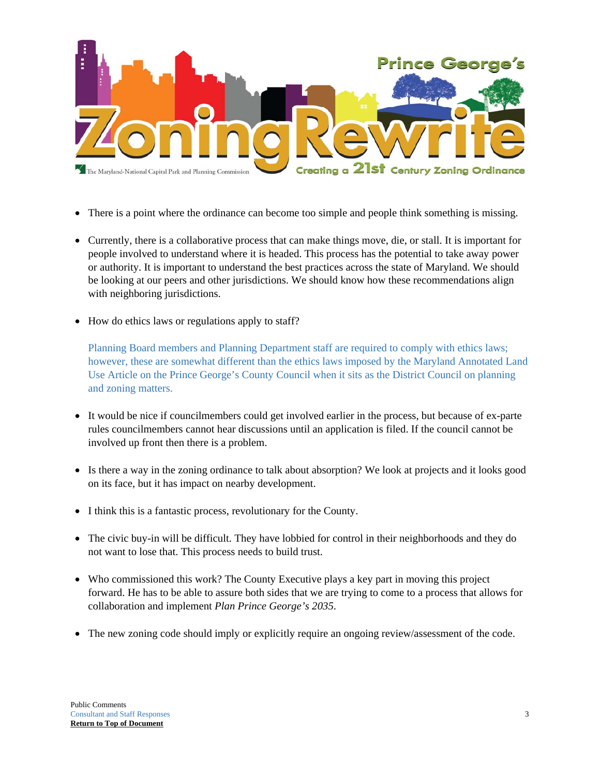

- There is a point where the ordinance can become too simple and people think something is missing.
- Currently, there is a collaborative process that can make things move, die, or stall. It is important for people involved to understand where it is headed. This process has the potential to take away power or authority. It is important to understand the best practices across the state of Maryland. We should be looking at our peers and other jurisdictions. We should know how these recommendations align with neighboring jurisdictions.
- How do ethics laws or regulations apply to staff?

Planning Board members and Planning Department staff are required to comply with ethics laws; however, these are somewhat different than the ethics laws imposed by the Maryland Annotated Land Use Article on the Prince George's County Council when it sits as the District Council on planning and zoning matters.

- It would be nice if councilmembers could get involved earlier in the process, but because of ex-parte rules councilmembers cannot hear discussions until an application is filed. If the council cannot be involved up front then there is a problem.
- Is there a way in the zoning ordinance to talk about absorption? We look at projects and it looks good on its face, but it has impact on nearby development.
- I think this is a fantastic process, revolutionary for the County.
- The civic buy-in will be difficult. They have lobbied for control in their neighborhoods and they do not want to lose that. This process needs to build trust.
- Who commissioned this work? The County Executive plays a key part in moving this project forward. He has to be able to assure both sides that we are trying to come to a process that allows for collaboration and implement *Plan Prince George's 2035*.
- The new zoning code should imply or explicitly require an ongoing review/assessment of the code.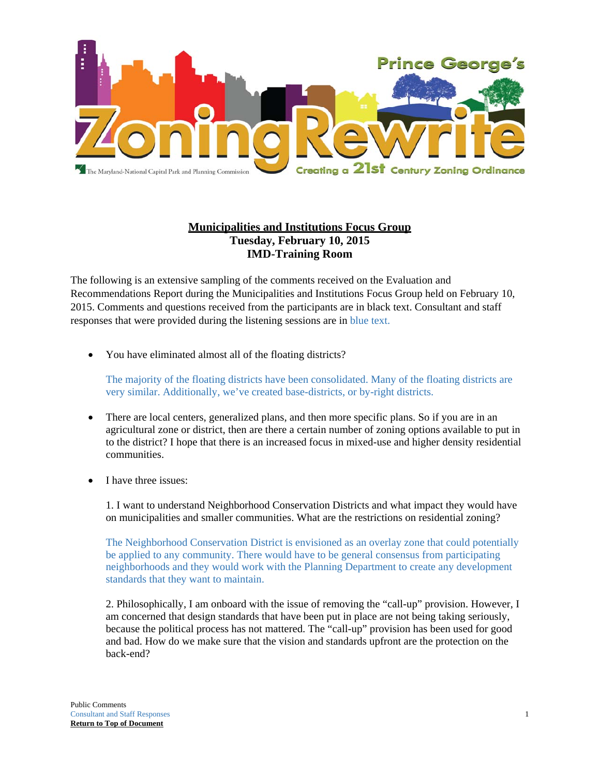

## **Municipalities and Institutions Focus Group Tuesday, February 10, 2015 IMD-Training Room**

The following is an extensive sampling of the comments received on the Evaluation and Recommendations Report during the Municipalities and Institutions Focus Group held on February 10, 2015. Comments and questions received from the participants are in black text. Consultant and staff responses that were provided during the listening sessions are in blue text.

You have eliminated almost all of the floating districts?

The majority of the floating districts have been consolidated. Many of the floating districts are very similar. Additionally, we've created base-districts, or by-right districts.

- There are local centers, generalized plans, and then more specific plans. So if you are in an agricultural zone or district, then are there a certain number of zoning options available to put in to the district? I hope that there is an increased focus in mixed-use and higher density residential communities.
- I have three issues:

1. I want to understand Neighborhood Conservation Districts and what impact they would have on municipalities and smaller communities. What are the restrictions on residential zoning?

The Neighborhood Conservation District is envisioned as an overlay zone that could potentially be applied to any community. There would have to be general consensus from participating neighborhoods and they would work with the Planning Department to create any development standards that they want to maintain.

2. Philosophically, I am onboard with the issue of removing the "call-up" provision. However, I am concerned that design standards that have been put in place are not being taking seriously, because the political process has not mattered. The "call-up" provision has been used for good and bad. How do we make sure that the vision and standards upfront are the protection on the back-end?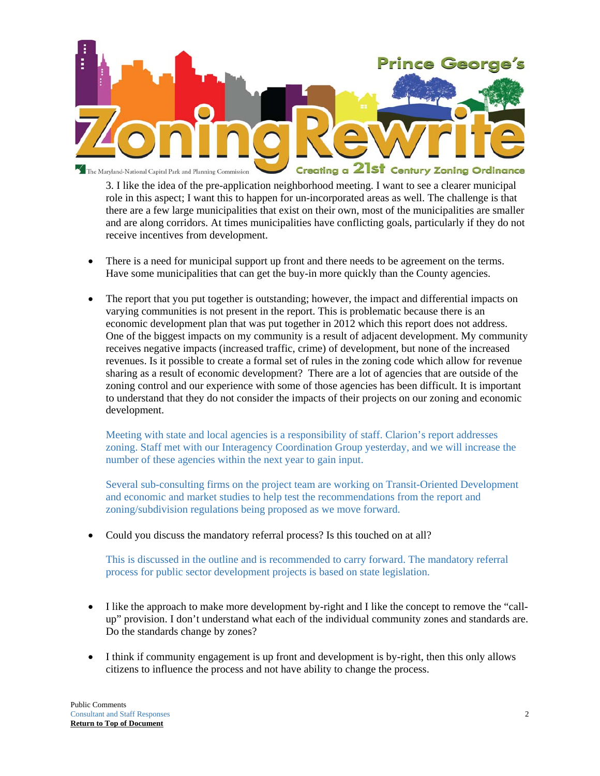

3. I like the idea of the pre-application neighborhood meeting. I want to see a clearer municipal role in this aspect; I want this to happen for un-incorporated areas as well. The challenge is that there are a few large municipalities that exist on their own, most of the municipalities are smaller and are along corridors. At times municipalities have conflicting goals, particularly if they do not receive incentives from development.

- There is a need for municipal support up front and there needs to be agreement on the terms. Have some municipalities that can get the buy-in more quickly than the County agencies.
- The report that you put together is outstanding; however, the impact and differential impacts on varying communities is not present in the report. This is problematic because there is an economic development plan that was put together in 2012 which this report does not address. One of the biggest impacts on my community is a result of adjacent development. My community receives negative impacts (increased traffic, crime) of development, but none of the increased revenues. Is it possible to create a formal set of rules in the zoning code which allow for revenue sharing as a result of economic development? There are a lot of agencies that are outside of the zoning control and our experience with some of those agencies has been difficult. It is important to understand that they do not consider the impacts of their projects on our zoning and economic development.

Meeting with state and local agencies is a responsibility of staff. Clarion's report addresses zoning. Staff met with our Interagency Coordination Group yesterday, and we will increase the number of these agencies within the next year to gain input.

Several sub-consulting firms on the project team are working on Transit-Oriented Development and economic and market studies to help test the recommendations from the report and zoning/subdivision regulations being proposed as we move forward.

Could you discuss the mandatory referral process? Is this touched on at all?

This is discussed in the outline and is recommended to carry forward. The mandatory referral process for public sector development projects is based on state legislation.

- I like the approach to make more development by-right and I like the concept to remove the "callup" provision. I don't understand what each of the individual community zones and standards are. Do the standards change by zones?
- I think if community engagement is up front and development is by-right, then this only allows citizens to influence the process and not have ability to change the process.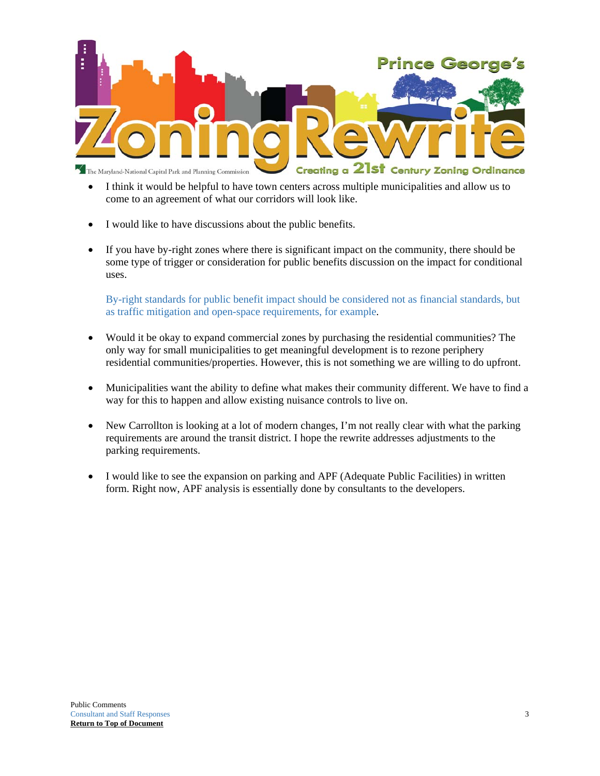

- I think it would be helpful to have town centers across multiple municipalities and allow us to come to an agreement of what our corridors will look like.
- I would like to have discussions about the public benefits.
- If you have by-right zones where there is significant impact on the community, there should be some type of trigger or consideration for public benefits discussion on the impact for conditional uses.

By-right standards for public benefit impact should be considered not as financial standards, but as traffic mitigation and open-space requirements, for example.

- Would it be okay to expand commercial zones by purchasing the residential communities? The only way for small municipalities to get meaningful development is to rezone periphery residential communities/properties. However, this is not something we are willing to do upfront.
- Municipalities want the ability to define what makes their community different. We have to find a way for this to happen and allow existing nuisance controls to live on.
- New Carrollton is looking at a lot of modern changes, I'm not really clear with what the parking requirements are around the transit district. I hope the rewrite addresses adjustments to the parking requirements.
- I would like to see the expansion on parking and APF (Adequate Public Facilities) in written form. Right now, APF analysis is essentially done by consultants to the developers.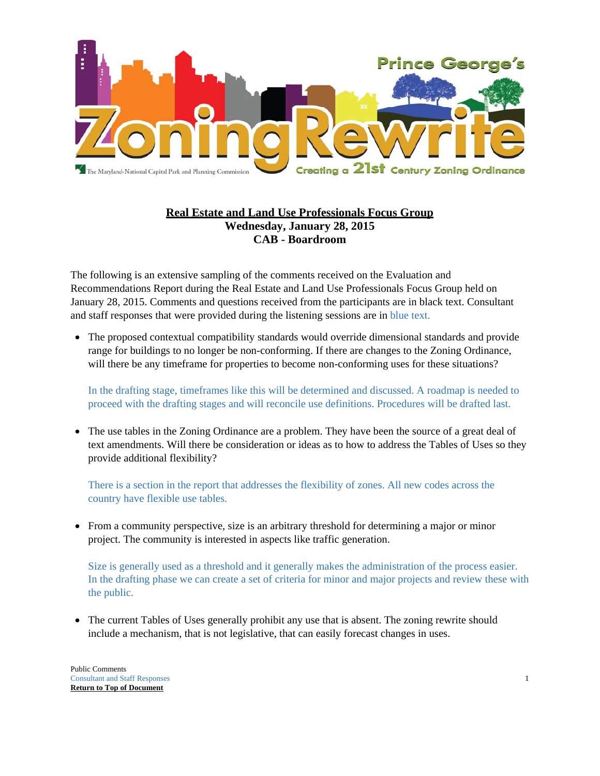

## **Real Estate and Land Use Professionals Focus Group Wednesday, January 28, 2015 CAB - Boardroom**

The following is an extensive sampling of the comments received on the Evaluation and Recommendations Report during the Real Estate and Land Use Professionals Focus Group held on January 28, 2015. Comments and questions received from the participants are in black text. Consultant and staff responses that were provided during the listening sessions are in blue text.

 The proposed contextual compatibility standards would override dimensional standards and provide range for buildings to no longer be non-conforming. If there are changes to the Zoning Ordinance, will there be any timeframe for properties to become non-conforming uses for these situations?

In the drafting stage, timeframes like this will be determined and discussed. A roadmap is needed to proceed with the drafting stages and will reconcile use definitions. Procedures will be drafted last.

• The use tables in the Zoning Ordinance are a problem. They have been the source of a great deal of text amendments. Will there be consideration or ideas as to how to address the Tables of Uses so they provide additional flexibility?

There is a section in the report that addresses the flexibility of zones. All new codes across the country have flexible use tables.

 From a community perspective, size is an arbitrary threshold for determining a major or minor project. The community is interested in aspects like traffic generation.

Size is generally used as a threshold and it generally makes the administration of the process easier. In the drafting phase we can create a set of criteria for minor and major projects and review these with the public.

• The current Tables of Uses generally prohibit any use that is absent. The zoning rewrite should include a mechanism, that is not legislative, that can easily forecast changes in uses.

Public Comments Consultant and Staff Responses 1 **Return to Top of Document**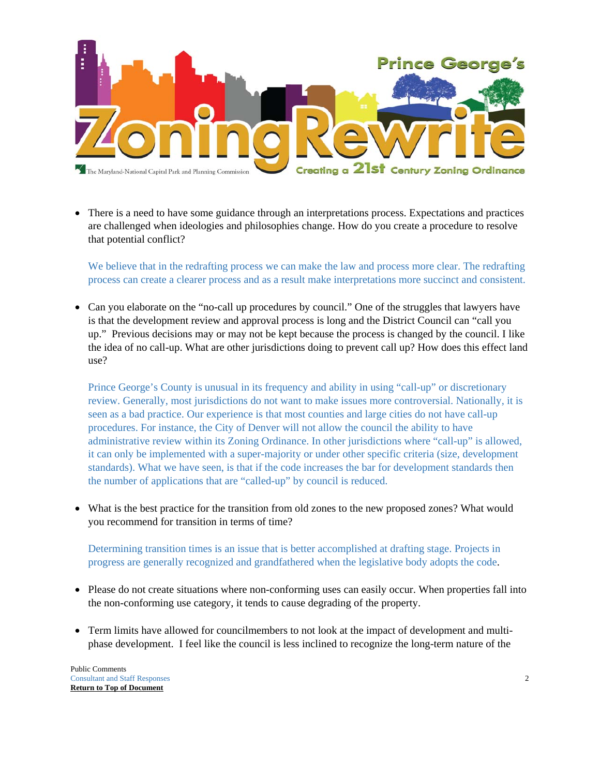

• There is a need to have some guidance through an interpretations process. Expectations and practices are challenged when ideologies and philosophies change. How do you create a procedure to resolve that potential conflict?

We believe that in the redrafting process we can make the law and process more clear. The redrafting process can create a clearer process and as a result make interpretations more succinct and consistent.

 Can you elaborate on the "no-call up procedures by council." One of the struggles that lawyers have is that the development review and approval process is long and the District Council can "call you up." Previous decisions may or may not be kept because the process is changed by the council. I like the idea of no call-up. What are other jurisdictions doing to prevent call up? How does this effect land use?

Prince George's County is unusual in its frequency and ability in using "call-up" or discretionary review. Generally, most jurisdictions do not want to make issues more controversial. Nationally, it is seen as a bad practice. Our experience is that most counties and large cities do not have call-up procedures. For instance, the City of Denver will not allow the council the ability to have administrative review within its Zoning Ordinance. In other jurisdictions where "call-up" is allowed, it can only be implemented with a super-majority or under other specific criteria (size, development standards). What we have seen, is that if the code increases the bar for development standards then the number of applications that are "called-up" by council is reduced.

 What is the best practice for the transition from old zones to the new proposed zones? What would you recommend for transition in terms of time?

Determining transition times is an issue that is better accomplished at drafting stage. Projects in progress are generally recognized and grandfathered when the legislative body adopts the code.

- Please do not create situations where non-conforming uses can easily occur. When properties fall into the non-conforming use category, it tends to cause degrading of the property.
- Term limits have allowed for councilmembers to not look at the impact of development and multiphase development. I feel like the council is less inclined to recognize the long-term nature of the

Public Comments Consultant and Staff Responses 2 **Return to Top of Document**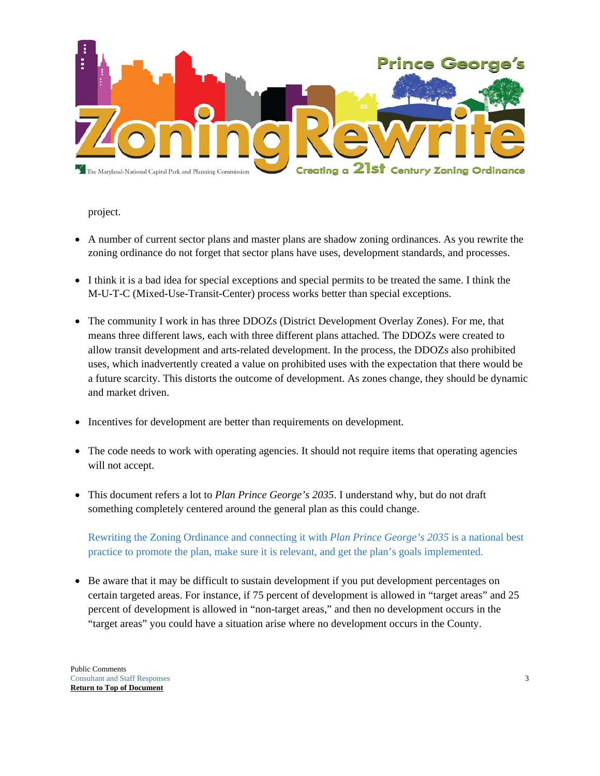

project.

- A number of current sector plans and master plans are shadow zoning ordinances. As you rewrite the zoning ordinance do not forget that sector plans have uses, development standards, and processes.
- I think it is a bad idea for special exceptions and special permits to be treated the same. I think the M-U-T-C (Mixed-Use-Transit-Center) process works better than special exceptions.
- The community I work in has three DDOZs (District Development Overlay Zones). For me, that means three different laws, each with three different plans attached. The DDOZs were created to allow transit development and arts-related development. In the process, the DDOZs also prohibited uses, which inadvertently created a value on prohibited uses with the expectation that there would be a future scarcity. This distorts the outcome of development. As zones change, they should be dynamic and market driven.
- Incentives for development are better than requirements on development.
- The code needs to work with operating agencies. It should not require items that operating agencies will not accept.
- This document refers a lot to *Plan Prince George's 2035*. I understand why, but do not draft something completely centered around the general plan as this could change.

Rewriting the Zoning Ordinance and connecting it with *Plan Prince George's 2035* is a national best practice to promote the plan, make sure it is relevant, and get the plan's goals implemented.

 Be aware that it may be difficult to sustain development if you put development percentages on certain targeted areas. For instance, if 75 percent of development is allowed in "target areas" and 25 percent of development is allowed in "non-target areas," and then no development occurs in the "target areas" you could have a situation arise where no development occurs in the County.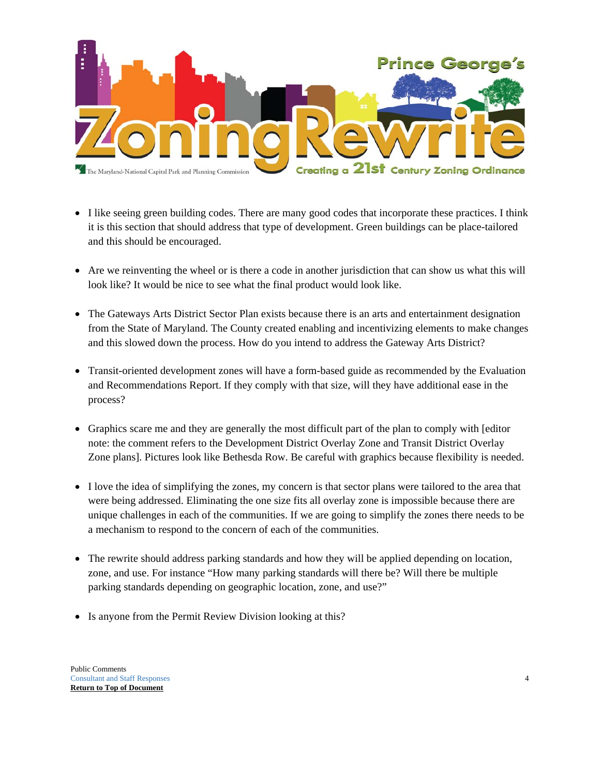

- I like seeing green building codes. There are many good codes that incorporate these practices. I think it is this section that should address that type of development. Green buildings can be place-tailored and this should be encouraged.
- Are we reinventing the wheel or is there a code in another jurisdiction that can show us what this will look like? It would be nice to see what the final product would look like.
- The Gateways Arts District Sector Plan exists because there is an arts and entertainment designation from the State of Maryland. The County created enabling and incentivizing elements to make changes and this slowed down the process. How do you intend to address the Gateway Arts District?
- Transit-oriented development zones will have a form-based guide as recommended by the Evaluation and Recommendations Report. If they comply with that size, will they have additional ease in the process?
- Graphics scare me and they are generally the most difficult part of the plan to comply with [editor note: the comment refers to the Development District Overlay Zone and Transit District Overlay Zone plans]. Pictures look like Bethesda Row. Be careful with graphics because flexibility is needed.
- I love the idea of simplifying the zones, my concern is that sector plans were tailored to the area that were being addressed. Eliminating the one size fits all overlay zone is impossible because there are unique challenges in each of the communities. If we are going to simplify the zones there needs to be a mechanism to respond to the concern of each of the communities.
- The rewrite should address parking standards and how they will be applied depending on location, zone, and use. For instance "How many parking standards will there be? Will there be multiple parking standards depending on geographic location, zone, and use?"
- Is anyone from the Permit Review Division looking at this?